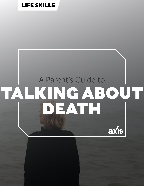### [LIFE SKILLS](https://axis.org/parent-guides/#lifeskills)

## A Parent's Guide to TALKING ABOUT DEATH

axis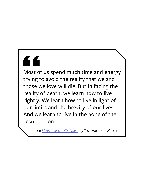# "

Most of us spend much time and energy trying to avoid the reality that we and those we love will die. But in facing the reality of death, we learn how to live rightly. We learn how to live in light of our limits and the brevity of our lives. And we learn to live in the hope of the resurrection.

— from *[Liturgy of the Ordinary](https://www.amazon.com/Liturgy-Ordinary-Sacred-Practices-Everyday/dp/0830846239)*, by Tish Harrison Warren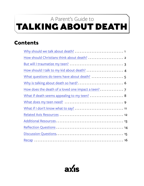## <span id="page-2-0"></span>TALKING ABOUT DEATH A Parent's Guide to

#### **Contents**

| How does the death of a loved one impact a teen? 7 |
|----------------------------------------------------|
| What if death seems appealing to my teen?  8       |
|                                                    |
|                                                    |
|                                                    |
|                                                    |
|                                                    |
|                                                    |
|                                                    |

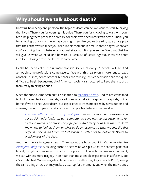#### <span id="page-3-0"></span>**Why should we talk about death?**

Knowing how heavy and personal the topic of death can be, we want to start by saying thank you. Thank you for opening this guide. Thank you for choosing to walk with your teen, helping them process or prepare for their own encounters with death. Thank you for showing up for them even as you might feel like you're breaking apart. We pray that the Father would meet you here, in this moment in time, in these pages; wherever you're coming from, whatever emotional state you find yourself in. We trust that He will give us what we need, and be with us. Because of Jesus' righteousness, we enter into God's loving presence. In Jesus' name, amen.

Death has been called the ultimate statistic: 10 out of every 10 people will die. And although some professions come face-to-face with this reality on a more regular basis (doctors, nurses, police officers, butchers, the military), this conversation can feel quite difficult to begin because much of American society is structured to keep the rest of us from really thinking about it.

Since the 1800s, American culture has tried to ["sanitize" death.](https://www.theatlantic.com/health/archive/2013/10/death-is-having-a-moment/280777/) Bodies are embalmed to look more lifelike at funerals; loved ones often die in hospice or hospitals, not at home. If we do encounter death, our experience is often mediated by news outlets and screens, through impersonal statistics or final photos before someone dies.

*[The dead often come to us by photograph](https://www.nytimes.com/2018/08/14/magazine/media-bodies-censorship.html) — in our morning newspapers, in our social-media feeds, on our computer screens next to advertisements for diamond watches or cruises or yoga pants. And many of us fear that we don't know how to look at them, or what to do in response to what we see. We feel helpless. Useless. And then we feel ashamed. Better not to look at all. Better to avoid images of the dead.*

And then there's imaginary death. Think about the body count in Marvel movies like *[Avengers: Endgame](https://www.marvel.com/movies/avengers-endgame)*. A building burns on screen as we sip a Coke; the camera pans to a bloody fistfight and we munch on a fistful of popcorn. Through modern entertainment, we can witness more tragedy in an hour than most people experience in a lifetime, but it's all detached. Witnessing a bomb detonate in real life might give people PTSD; seeing the same thing on screen may make us tear up for a moment, but when the movie ends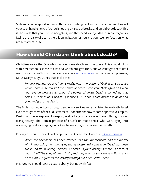<span id="page-4-0"></span>we move on with our day, unphased.

So how do we respond when death comes crashing back into our awareness? How will your teen handle news of school shootings, virus outbreaks, and opioid overdoses? This is the world that your teen is navigating, and they need your guidance. In courageously facing the reality of death, there is an invitation for you and your teen to focus on what really matters in life.

#### **How should Christians think about death?**

Christians serve the One who has overcome death and the grave. This should fill us with a tremendous sense of awe and worshipful gratitude, but we can't get there until we truly reckon with what was overcome. In a [sermon series](https://www.youtube.com/watch?v=dLTb0eJjBus) on the book of Ephesians, Dr. D. Martyn Lloyd-Jones puts it like this:

*My dear friends, you and I don't realize what the power of God in us is because we've never quite realized the power of death. Read your Bible again and keep your eye on what it says about the power of death. Death is something that holds us, it binds us, it bends us, it chains us! There is nothing that so holds and grips and grasps as death.*

The Bible was not written through people whose lives were insulated from death. Israel lived through most of the Old Testament under the shadow of some oppressive empire. Death was the ever-present weapon, wielded against anyone who even thought about transgressing. The Roman practice of crucifixion made those who were dying into warning signs, discouraging onlookers from daring to provoke their wrath.

It is against this historical backdrop that the Apostle Paul writes in  $1$  Corinthians  $15$ :

*When the perishable has been clothed with the imperishable, and the mortal with immortality, then the saying that is written will come true: 'Death has been swallowed up in victory.' 'Where, O death, is your victory? Where, O death, is your sting?' The sting of death is sin, and the power of sin is the law. But thanks be to God! He gives us the victory through our Lord Jesus Christ.*

In short, we should regard death soberly, but not with fear.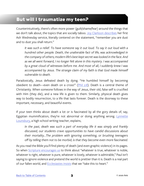#### <span id="page-5-0"></span>**But will I traumatize my teen?**

Counterintuitively, there's often more power (guilt/shame/fear) around the things that we don't talk about, the topics that are socially taboo. [Joy Clarkson describes](https://joyclarkson.com/home/2018/2/12/remember-you-have-to-die) her first Ash Wednesday service, literally centered on the statement, "remember you are dust and to dust you shall return."

*It was such a relief. To have someone say it out loud. To say it out loud with a hundred other people. Death, the unalterable fact of life, was acknowledged in the company of others; modern life's best kept secret was looked in the face. And as we all went forward, I no longer felt alone in this mystery. I was accompanied by a great cloud of witnesses before me. And most of all, I suddenly knew I was accompanied by Jesus. The strange claim of my faith is that God made himself vulnerable to death.*

Paradoxically, Jesus defeated death by dying. "He humbled himself by becoming obedient to death—even death on a cross!" ([Phil 2:8\)](https://www.biblegateway.com/passage/?search=Philippians+2&version=NIV). Death is a central theme of Christianity. When someone follows in the way of Jesus, their old, false self is crucified with Him (they die), and a new life is given to them. Similarly, physical death gives way to bodily resurrection, to a life that lasts forever. Death is the doorway to these important, necessary, and beautiful events.

If your teen thinks about death a lot or is fascinated by all the gory details of, say, Egyptian mummification, they're not abnormal or doing anything wrong. [Lynnette](https://www.theguardian.com/commentisfree/2014/jun/08/young-people-are-dying-to-talk-about-death) [Lounsbury,](https://www.theguardian.com/commentisfree/2014/jun/08/young-people-are-dying-to-talk-about-death) a high school writing teacher, explains,

*In the past, death was such a part of everyday life it was simply and frankly discussed, our students crave opportunities to have candid discussions about their mortality…The problem with ignoring something, or brushing teenagers off by telling them not to be morbid, is that they become even more fascinated.*

As you read the Bible you'll find plenty of death (and even graphic violence) in its pages. So when [Scripture encourages us](https://www.biblegateway.com/passage/?search=Philippians+4%3A8&version=NIV) to think about "whatever is true, whatever is noble, whatever is right, whatever is pure, whatever is lovely, whatever is admirable," Paul isn't saying to ignore violence and pretend the world is prettier than it is. Death is a real part of our fallen world, and [Ecclesiastes insists](https://www.biblegateway.com/passage/?search=Ecclesiastes+7&version=NIV) that we "take this to heart."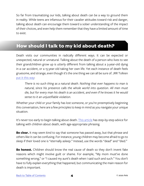<span id="page-6-0"></span>So far from traumatizing our kids, talking about death can be a way to ground them in reality. While teens are infamous for their cavalier attitudes toward risk and danger, talking about death can encourage them toward a sober understanding of the impact of their choices, and even help them remember that they have a limited amount of time to exist.

#### **How should I talk to my kid about death?**

Death visits our communities in radically different ways. It can be expected or unexpected, natural or unnatural. Talking about the death of a person who lives to see their grandchildren grow up is utterly different from talking about a 3-year-old dying in a car accident, or a 15-year-old taking her own life. Yet each instance of death feels gruesome, and strange, even though it's the one thing we can all be sure of. JRR Tolkien [put it this way](https://www.goodreads.com/quotes/554822-human-stories-are-practically-always-about-one-thing-really-aren-t):

*There is no such thing as a natural death. Nothing that ever happens to man is natural, since his presence calls the whole world into question. All men must die, but for every man his death is an accident, and even if he knows it he would sense to it an unjustifiable violation.*

Whether your child or your family has lost someone, or you're preemptively beginning this conversation, here are a few principles to keep in mind as you navigate your unique situation.

It's never too early to begin talking about death. [This article](https://www.aap.org/en-us/advocacy-and-policy/aap-health-initiatives/Children-and-Disasters/Documents/After-a-Loved-One-Dies-English.pdf) has step-by-step advice for talking with children about death, with age-appropriate phrasing.

**Be clear.** It may seem kind to say that someone has passed away, but that phrase and others like it can be confusing. For instance, young children may become afraid to go to sleep if their loved one is "eternally asleep." Instead, use the words "dead" and "died."

**Be honest.** Children should know the real cause of death so they don't invent fake reasons which might involve guilt or shame. For example, "My mom must've done something wrong," or "I caused my aunt's death when I said such and such." You don't have to fully explain everything that happened, but communicating the main reason for death is important.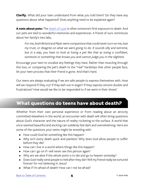<span id="page-7-0"></span>**Clarify.** What did your teen understand from what you told them? Do they have any questions about what happened? Does anything need to be explained again?

**A note about pets:** The [death of a pet](https://www.helpguide.org/articles/grief/coping-with-losing-a-pet.htm) is often someone's first exposure to death. And our pets are tied to wonderful memories and experiences. A friend of ours reminisces about her family's two labs,

*For me, both Bristol and Piper were companions that could never turn on me, lose my trust, or disagree on what we were going to do. It sounds silly and extreme, but in a way, you have to look at losing a pet like that as losing a confidant, someone or something that knows you and cannot judge you in the slightest.*

Encourage your teen to vocalize any feelings they have. Rather than muscling through this loss, or comparing the pet's death to the "real" hardships that other people face, let your teen process that their friend is gone. And that's hard.

Our teens are always evaluating if we are safe people to express themselves with. How will we respond if they cry? If they lash out in anger? If they express sincere doubts and frustrations? How would we like to be responded to if we were in their shoes?

#### **What questions do teens have about death?**

Whether from their own personal experience or from reading about an atrocity committed elsewhere in the world, an encounter with death will often bring questions about God's character and the nature of reality rocketing to the surface. A world that once seemed beautiful and exciting can suddenly feel dark and overwhelming. Here are some of the questions your teens might be wrestling with:

- How could God let something like this happen?
- Why isn't every death quick and painless? Why does God allow people to suffer before they die?
- How can I live in a world where things like this happen?
- How can I go on if I will never see this person again?
- Why are we alive if the whole point is to die and go to heaven someday?
- Does God really send people to hell after they die? Will my friend really be tortured forever for not believing in Jesus?
- What if I'm afraid of death? How can I not be afraid?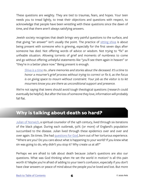<span id="page-8-0"></span>These questions are weighty. They are tied to traumas, fears, and hopes. Your teen needs you to tread lightly, to treat their objections and questions with respect, to acknowledge that people have been wrestling with these questions since the dawn of time, and that there aren't always satisfying answers.

Jewish society recognizes that death brings very painful questions to the surface, and that giving "an answer" isn't usually the point. The practice of [sitting shiva](https://www.joincake.com/blog/sitting-shiva/) is about being present with someone who is grieving, especially for the first seven days after someone has died. Not offering words of advice or wisdom. Not trying to "fix" an unfixable situation. Allowing torrents of grief and moments of numbness to come and go without offering unhelpful statements like "you'll see them again in heaven" or "they're in a better place now." Being present is enough.

*[Shiva is a time](https://www.joincake.com/blog/sitting-shiva/) to...share memories and stories about the deceased. It's a time to honor a mourner's grief process without trying to correct or fix it, as the focus is on giving space to mourn without constraint. Your job as the visitor is to let mourners know you are there as unconditional support and presence.*

We're not saying that teens should avoid tough theological questions (research could eventually be helpful). But after the loss of someone they love, information will probably fall flat.

#### **Why is talking about death so hard?**

[Julian of Norwich,](https://renovare.org/podcast/episode-95-mimi-dixon-julian-of-norwich) a spiritual counselor of the 14th century, lived through six iterations of the black plague. During each outbreak, 50% (or more) of England's population succumbed to the disease. Julian lived through these epidemics over and over and over again. Six times. She had [questions for God](https://renovare.org/podcast/episode-95-mimi-dixon-julian-of-norwich), born out of her torturous experience. "Where are you? Do you care about what is happening to your world? If you knew what sin was going to do, why didn't you stop it? Why create us at all?"

Perhaps we are afraid to talk about death because Julian's questions are also our questions. What was God thinking when He set the world in motion? Is all this pain worth it? Maybe you're afraid of adding to your teen's confusion, especially if you don't have clear answers or peace of mind about the people you've loved and lost. But more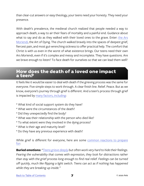<span id="page-9-0"></span>than clear-cut answers or easy theology, your teens need your honesty. They need your presence.

With death's prevalence, the medieval church realized that people needed a way to approach death, a way to air their fears of mortality and a painful end. Guidance about what to say and do as they walked with their loved ones to the grave. Enter: the Ars [Moriendi,](http://bav.bodleian.ox.ac.uk/news/ars-moriendi-the-art-of-dying) the Art of Dying. The church walked bravely into the spaces of deepest grief, fiercest pain, and most gut-wrenching sickness to offer practical help. The comfort that Christ is with us even in the worst of what existence brings. Our teens need their own Ars Moriendi, even if it's complex and messy and incomplete. They have questions. Are we brave enough to listen? To face death for ourselves so that we can lead them well?

#### **a teen? How does the death of a loved one impact**

It feels like it would be easier to deal with death if the grieving process was the same for everyone. Five simple steps to work through. A clear finish line. Relief. Peace. But as we know, everyone's journey through grief is different. And a teen's process through grief is impacted by [many factors, including:](https://www.dougy.org/grief-resources/how-to-help-a-grieving-teen/)

- \* What kind of social support system do they have?
- \* What were the circumstances of the death?
- \* Did they unexpectedly find the body?
- \* What was their relationship with the person who died like?
- \* To what extent were they involved in the dying process?
- \* What is their age and maturity level?
- \* Do they have any previous experience with death?

While grief is different for everyone, here are some [common reactions to prepare](https://americanhospice.org/grieving-children/someone-you-love-has-died-a-book-for-grieving-children/) [for:](https://americanhospice.org/grieving-children/someone-you-love-has-died-a-book-for-grieving-children/)

**Buried emotions:***["Teens grieve deeply](https://americanhospice.org/grieving-children/someone-you-love-has-died-a-book-for-grieving-children/) but often work very hard to hide their feelings. Fearing the vulnerability that comes with expression, they look for distractions rather than stay with the grief process long enough to find real relief. Feelings can be turned off quickly, much like flipping a light switch. Teens can act as if nothing has happened while they are breaking up inside."*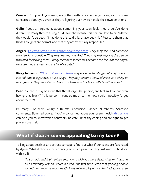<span id="page-10-0"></span>**Concern for you:** If you are grieving the death of someone you love, your kids are concerned about you even as they're figuring out how to handle their own emotions.

**Guilt:** About an argument, about something your teen feels they should've done differently. Really they're asking, "Did I somehow cause this person I love to die? Maybe they wouldn't be dead if I had done this, said this, or avoided this." Reassure them that those thoughts are normal, and that they aren't actually responsible.

**Anger:** *["Children often express anger about the death](https://www.aap.org/en-us/advocacy-and-policy/aap-health-initiatives/Children-and-Disasters/Documents/After-a-Loved-One-Dies-English.pdf). They may focus on someone they feel is responsible. They may feel angry at God. They may feel angry at the person who died for leaving them. Family members sometimes become the focus of this anger, because they are near and are 'safe' targets."*

**Risky behavior:** *["Older children and teens](https://www.aap.org/en-us/advocacy-and-policy/aap-health-initiatives/Children-and-Disasters/Documents/After-a-Loved-One-Dies-English.pdf) may drive recklessly, get into fights, drink alcohol, smoke cigarettes or use drugs. They may become involved in sexual activity or delinquency. They may start to have problems at school or conflicts with friends."*

**Fear:** Your teen may be afraid that they'll forget the person, and feel guilty about even having that fear ("If this person means so much to me, how could I possibly forget about them?").

Be ready. For tears. Angry outbursts. Confusion. Silence. Numbness. Sarcastic comments. Slammed doors. If you're concerned about your teen's health, [this article](https://americanhospice.org/grieving-children/someone-you-love-has-died-a-book-for-grieving-children/) can help you to know which behaviors indicate unhealthy coping and are signs to get professional help.

#### **What if death seems appealing to my teen?**

Talking about death as an abstract concept is fine, but what if our teens are fascinated by dying? What if they are experiencing so much pain that they just want to be done with it all?

*"It is an odd and frightening sensation to wish you were dead. After my husband died I fervently wished I could die, too. The first time I read that grieving people sometimes fantasize about death, I was relieved. My entire life I had appreciated*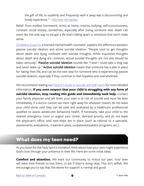<span id="page-11-0"></span>*the gift of life; to suddenly and frequently wish it away was a disconcerting and lonely experience." —[Michele Hernandez](https://www.taps.org/articles/15-4/deathwish)*

Relief: from endless homework, stress at home, trauma, bullying, self-consciousness, constant social anxiety...sometimes, especially after losing someone else, death can seem like the only way to escape a life that's falling apart or emotions that don't make sense.

[GinaMarie Guarino,](https://www.rewire.org/worry-suicidal-thoughts/) a licensed mental health counselor, explains the difference between passive suicidal ideation and active suicidal ideation: "People tend to get thoughts about death and dying confused with suicidal thoughts...While inquisitive thoughts about death and dying are common, actual suicidal thoughts are not and should be taken seriously." **Passive suicidal ideation** sounds like "I wish I could take a long nap and never wake up." **Active suicidal ideation** means that someone has a plan in place for taking their life, and can be the next step for someone who is experiencing passive suicidal ideation, especially if they continue to feel hopeless and overwhelmed.

We recommend reading our [Parent's Guide to Suicide and Self-Harm](https://axis.org/product/membership-product-for-suicide-self-harm-prevention/) for more detailed information. **If you even suspect that your child is struggling with any form of suicidal ideation, stop reading this guide and immediately seek help.** Contact your family physician and tell them your teen is at risk of suicide and must be seen immediately. If a doctor cannot see them right away for whatever reason, do not leave your child alone until they can be seen and evaluated by a healthcare professional qualified to assess adolescent behavioral health. If necessary, take your child to the nearest emergency room or urgent care center, demand priority, and do not leave the physician's office until next-steps are in place (such as referral to a specialist, assessments, evaluations, treatment plans, outpatient/inpatient programs, etc.).

#### **What does my teen need?**

As you listen for the Holy Spirit's invitation, think about how your teen might experience God's love through your presence in their life. Here are some initial ideas:

**Comfort and attention.** We want our community to notice our pain. Your teen will want their friends to text them, to ask if they're doing okay. This isn't selfish. We encourage you to say that this desire for support is normal and good.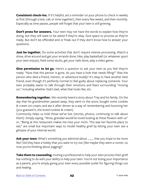**Consistent check-ins.** If it's helpful, set a reminder on your phone to check in weekly at first (through a text, call, or time together), then every few weeks, and then monthly. Especially as time passes, people will forget that your teen is still grieving.

**Don't press for answers.** Your teen may not have the words to explain how they're doing, but they still want to be asked if they're okay. Give space to process as they're ready. But don't be offended and or freak out if they don't know how to answer your questions.

**Just be together.** Do some activities that don't require intense processing. Watch a show, drive around and get your errands done, hike, play basketball (or whatever sport your teen enjoys), feed some ducks, get your nails done, play a video game...

**Give permission to let go.** Here's a question to ask your teen as you feel they're ready: "Now that this person is gone, do you have a hole that needs filling?" Was the person who died a friend, mentor, or adventure buddy? It's okay to have another best friend, even though it's perfectly normal to feel guilty about replacing someone. Your teen probably wants to talk through their emotions and fears surrounding "moving on," including whether that's bad, what that looks like, etc.

**Remembering together.** We recently heard a story about Trey and his family. On the day that his grandmother passed away, they went to the store, bought some cookies & cream ice cream, and ate it after dinner as a way of remembering and honoring her (you guessed it, she loved cookies & cream).

Community helps us hold those we've lost (stories, photos, continuing to talk about them). Simply saying, "Wow, grandad would've loved looking at these flowers with us" or, "Being at this restaurant makes me miss your mom. This was her favorite place to eat," are small but important ways to model healthy grief by letting your teen see a glimpse of your internal world.

**Ask your teen:** What's something you admired about **\_\_\_\_** that you hope to be more like? Did they have a hobby that you want to try out (like maybe they were a runner, so now you're thinking about jogging)?

**Take them to counseling.** Inviting a professional to help your teen process their grief has nothing to do with your ability to help your teen. You're not losing your importance as a parent, you're simply giving your teen every possible outlet for figuring things out and healing.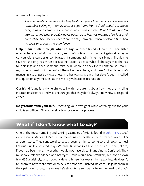<span id="page-13-0"></span>A friend of ours explains,

*A friend I really cared about died my freshman year of high school in a tornado. I remember calling my mom as soon as I got home from school, and she dropped everything and came straight home, which was critical. What I think I needed afterward, and what probably never occurred to her, was months of serious grief counseling. My parents were there for me, certainly. I wasn't isolated. But I had no tools to process the experience.*

**Help them think through what to say.** Another friend of ours lost her sister unexpectedly about 18 months ago, and she's noticed that innocent get-to-know-you conversations can get uncomfortable if someone asks if she has siblings. Should she say that she only has three because her sister is dead? What if she says that she has four siblings and then someone asks, "Oh, where do they live?" Long pause. "Well... my sister is dead. But the rest of them live here, here, and here." Yikes. Now she's managing a stranger's awkwardness, and her own peace with her sister's death is called into question anytime she has this weirdly vulnerable interaction.

Our friend found it really helpful to talk with her parents about how they are handling interactions like that, and was encouraged that they don't always know how to respond either.

**Be gracious with yourself.** Processing your own grief while watching out for your child is so difficult. Give yourself lots of grace in this process.

#### **What if I don't know what to say?**

One of the most humbling and striking examples of grief is found in [John 11:35.](https://www.biblegateway.com/passage/?search=John+11&version=NIV) Jesus' close friends, Mary and Martha, are mourning the death of their brother Lazarus. It's a rough story. They sent word to Jesus, begging him to come to their town to heal Lazarus. But Jesus waited...days. When he finally arrives, both sisters accuse him, "Lord, if you had been here, my brother would not have died." Blunt. Angry. Confused. They must have felt abandoned and betrayed. Jesus would heal strangers, but not his own friend? Surprisingly, Jesus doesn't defend himself or explain his reasoning. He doesn't tell them to have more faith or to be less emotional. Instead, he cries. He joins them in their pain, even though he knows he's about to raise Lazarus from the dead, and that's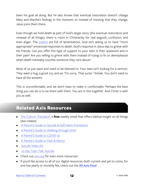<span id="page-14-0"></span>been his goal all along. But he also knows that eventual restoration doesn't change Mary and Martha's feelings in the moment; so instead of insisting that they change, Jesus joins them there.

Even though we hold death as part of God's larger story (the eventual restoration and renewal of all things), there is room in Christianity for real anguish, confusion, and even anger. The [psalms](https://www.bible.com/bible/114/PSA.13.NKJV) are full of lamentations. God isn't asking us to have "more appropriate" emotional responses to death. God's response in Jesus was to grieve with His friends. Can you offer this type of support to your teen in their questions and in their pain? Are you willing to grieve with them instead of trying to fix or deemphasize when death inevitably touches someone they care about?

Most of us just want and need to be listened to. Your teen isn't looking for a sermon. They want a hug, a good cry, and an "I'm sorry. That sucks." Exhale. You don't need to have all the answers.

This is uncomfortable, and we don't have to make it comfortable. Perhaps the best thing you can do is to be there with them. You are in this together. And Christ is with you as well.

#### **Related Axis Resources**

- *• [The Culture Translator](http://axis.org/ct)*, a **free** weekly email that offers biblical insight on all things teen-related
- [A Parent's Guide to Suicide & Self-Harm Prevention](https://axis.org/product/membership-product-for-suicide-self-harm-prevention/)
- [A Parent's Guide to Walking through Grief](https://axis.org/product/a-parents-guide-to-grief/)
- [A Parent's Guide to COVID-19](https://axis.org/product/a-parents-guide-to-covid-19/)
- [A Parent's Guide to Fear & Worry](https://axis.org/product/a-parents-guide-to-fear-worry/)
- [Suicide Video Kit](https://axis.org/product/suicide/)
- [10-Day Teen Talk: Suicide](https://axis.org/product/membership-product-for-teen-talk-suicide/)
- Check out [axis.org](https://axis.org) for even more resources!
- If you'd like access to all of our digital resources, both current and yet to come, for one low yearly or monthly fee, check out the **[All Axis Pass](https://axis.org/aap)**!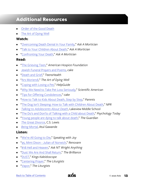#### <span id="page-15-0"></span>**Additional Resources**

- [Order of the Good Deat](http://www.orderofthegooddeath.com/)h
- [The Art of Dying Well](https://www.artofdyingwell.org/)

#### **Watch:**

- ["Overcoming Death Denial In Your Family](https://www.youtube.com/watch?v=0WOyFErcTHU)," *Ask A Mortician*
- ["Talk to Your Children About Death](https://www.youtube.com/watch?v=0gUOP9IvZew)," *Ask A Mortician*
- ["Confronting Your Death](https://www.youtube.com/watch?v=CN7ZD9uw7LQ)," *Ask A Mortician*

#### **Read:**

- ["The Grieving Teen,](https://americanhospice.org/grieving-children/someone-you-love-has-died-a-book-for-grieving-children/)" *American Hospice Foundation*
- [Jewish Funeral Prayers and Poems,](https://www.joincake.com/blog/jewish-funeral-prayers/) *cake*
- ["Death and Grief,](https://kidshealth.org/en/teens/someone-died.html)" *TeensHealth*
- ["Ars Moriendi,](file:///Users/axisliveteam/Downloads/artofdyingwell.org/about-this-site/ars-moriendi/)" *The Art of Dying Well*
- ["Coping with Losing a Pet](https://www.helpguide.org/articles/grief/coping-with-losing-a-pet.htm)," *HelpGuide*
- ["Why We Need to Take Pet Loss Seriously,](https://www.scientificamerican.com/article/why-we-need-to-take-pet-loss-seriously/)" *Scientific American*
- ["Tips for Offering Condolences](https://www.joincake.com/blog/how-to-offer-condolences/)," *cake*
- ["How to Talk to Kids About Death, Step by Step,](https://www.parents.com/toddlers-preschoolers/development/social/talking-to-kids-about-death/)" *Parents*
- ["The Dog Isn't Sleeping: How to Talk with Children About Death,](https://www.npr.org/2019/03/04/698309351/the-dog-isnt-sleeping-how-to-talk-with-children-about-death)" *NPR*
- *[Talking to Adolescents About Death](https://www.greenville.k12.sc.us/lakeview/Upload/uploads/Parent Guide.pdf)*, Lakeview Middle School
- ["The Do's and Don'ts of Talking with a Child about Death](https://www.psychologytoday.com/us/blog/two-takes-depression/201612/the-dos-and-donts-talking-child-about-death)," *Psychology Today*
- ["Young people are dying to talk about death](https://www.theguardian.com/commentisfree/2014/jun/08/young-people-are-dying-to-talk-about-death)," *The Guardian*
- *[The Great Divorce](https://www.amazon.com/Great-Divorce-C-S-Lewis/dp/0060652950)*, C.S. Lewis
- *[Being Mortal](http://atulgawande.com/book/being-mortal/)*, Atul Gawande

#### **Listen:**

- ["We're All Going to Die](https://joyclarkson.com/home/2018/2/12/remember-you-have-to-die)," *Speaking with Joy*
- ["95. Mimi Dixon Julian of Norwich,](https://renovare.org/podcast/episode-95-mimi-dixon-julian-of-norwich)" *Renovare*
- ["#18 Hell and Heaven,](https://podcasts.apple.com/us/podcast/18-hell-and-heaven/id1441656192?i=1000444756779)" *Ask NT Wright Anything*
- ["Dust We Are And Shall Return,](https://www.youtube.com/watch?v=ygX1TP4og8I)" *The Brilliance*
- ["DUST](https://www.youtube.com/watch?v=F0_uROWStpc)," *Kings Kaleidoscope*
- ["Centering Prayer](https://www.youtube.com/watch?v=brwjlIpNSug)," *The Liturgists*
- ["Vapor,](https://www.youtube.com/watch?v=fOH6qYTOo0c)" *The Liturgists*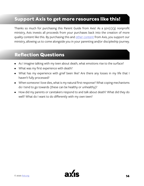#### <span id="page-16-0"></span>**Support Axis to get more resources like this!**

Thanks so much for purchasing this Parent Guide from Axis! As a  $501(c)(3)$  nonprofit ministry, Axis invests all proceeds from your purchases back into the creation of more quality content like this. By purchasing this and [other content](https://axis.org) from Axis, you support our ministry, allowing us to come alongside you in your parenting and/or discipleship journey.

#### **Reflection Questions**

- As I imagine talking with my teen about death, what emotions rise to the surface?
- What was my first experience with death?
- What has my experience with grief been like? Are there any losses in my life that I haven't fully processed?
- When someone I love dies, what is my natural first response? What coping mechanisms do I tend to go towards (these can be healthy or unhealthy)?
- How did my parents or caretakers respond to and talk about death? What did they do well? What do I want to do differently with my own teen?

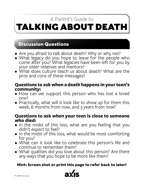## <span id="page-17-0"></span>TALKING ABOUT DEATH A Parent's Guide to

#### **Discussion Questions**

- Are you afraid to talk about death? Why or why not?
- What legacy do you hope to leave for the people who come after you? What legacies have been left for you by your older relatives and mentors?
- What does culture teach us about death? What are the pros and cons of these messages?

#### **Questions to ask when a death happens in your teen's community:**

- How can we support this person who has lost a loved one?
- Practically, what will it look like to show up for them this week, 6 months from now, and 3 years from now?

#### **Questions to ask when your teen is close to someone who died:**

- In the midst of this loss, what are you feeling that you didn't expect to feel?
- In the midst of this loss, what would be most comforting for you?
- What can it look like to celebrate this person's life and continue to remember them?
- What qualities did you love about this person? Are there any ways that you hope to be more like them?

#### **Hint: Screen shot or print this page to refer back to later!**